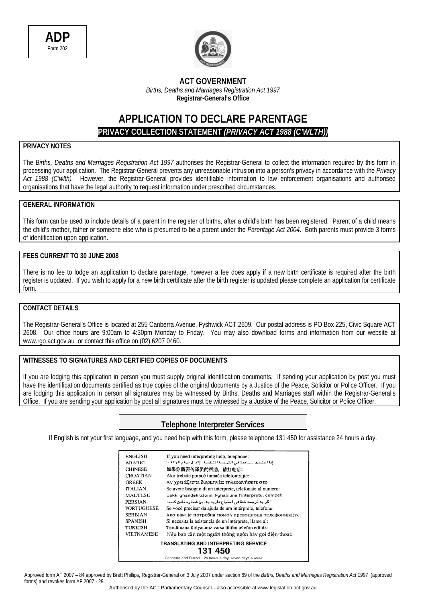



#### **ACT GOVERNMENT**  *Births, Deaths and Marriages Registration Act 1997*  **Registrar-General's Office**

## **APPLICATION TO DECLARE PARENTAGE PRIVACY COLLECTION STATEMENT** *(PRIVACY ACT 1988 (C'WLTH))*

### **PRIVACY NOTES**

The *Births, Deaths and Marriages Registration Act 1997* authorises the Registrar-General to collect the information required by this form in processing your application. The Registrar-General prevents any unreasonable intrusion into a person's privacy in accordance with the *Privacy Act 1988 (C'wlth).* However, the Registrar-General provides identifiable information to law enforcement organisations and authorised organisations that have the legal authority to request information under prescribed circumstances.

#### **GENERAL INFORMATION**

This form can be used to include details of a parent in the register of births, after a child's birth has been registered. Parent of a child means the child's mother, father or someone else who is presumed to be a parent under the *Parentage Act 2004*. Both parents must provide 3 forms of identification upon application.

#### **FEES CURRENT TO 30 JUNE 2008**

There is no fee to lodge an application to declare parentage, however a fee does apply if a new birth certificate is required after the birth register is updated. If you wish to apply for a new birth certificate after the birth register is updated please complete an application for certificate form.

#### **CONTACT DETAILS**

The Registrar-General's Office is located at 255 Canberra Avenue, Fyshwick ACT 2609. Our postal address is PO Box 225, Civic Square ACT 2608. Our office hours are 9:00am to 4:30pm Monday to Friday. You may also download forms and information from our website at www.rgo.act.gov.au or contact this office on (02) 6207 0460.

#### **WITNESSES TO SIGNATURES AND CERTIFIED COPIES OF DOCUMENTS**

If you are lodging this application in person you must supply original identification documents. If sending your application by post you must have the identification documents certified as true copies of the original documents by a Justice of the Peace, Solicitor or Police Officer. If you are lodging this application in person all signatures may be witnessed by Births, Deaths and Marriages staff within the Registrar-General's Office. If you are sending your application by post all signatures must be witnessed by a Justice of the Peace, Solicitor or Police Officer.

### **Telephone Interpreter Services**

If English is not your first language, and you need help with this form, please telephone 131 450 for assistance 24 hours a day.

| ENGLISH           | If you need interpreting help, telephone:                  |
|-------------------|------------------------------------------------------------|
| <b>ARABIC</b>     | إذا المتجت للساعدة في الترجمة الشفوية ، إتصل برقم الهاتف : |
| <b>CHINESE</b>    | 如果你需要传译员的帮助,请打电话:                                          |
| <b>CROATIAN</b>   | Ako trebate pomoć tumača telefonirajte:                    |
| <b>GREEK</b>      | Αν γρειάζεστε διερμηνέα τηλεφωνήσετε στο                   |
| <b>ITALIAN</b>    | Se avete bisogno di un interprete, telefonate al numero:   |
| <b>MALTESE</b>    | Jekk ghandek bżonn I-ghajnuna t'interpretu, cempel:        |
| PERSIAN           | اگر به ترجمه شفاهی احتیاج دارید به این شمار ه تلفن کنید:   |
| <b>PORTUGUESE</b> | Se você precisar da ajuda de um intérprete, telefone:      |
| <b>SERBIAN</b>    | Ако вам је потребна помоћ преводиоца телефонирајте         |
| <b>SPANISH</b>    | Si necesita la asistencia de un intérprete, llame al:      |
| TURKISH           | Tercümana ihtiyacınız varsa lütfen telefon ediniz:         |
| <b>VIETNAMESE</b> | Nếu bạn cần một người thông ngôn hãy gọi điện thoại:       |
|                   | TRANSLATING AND INTERPRETING SERVICE                       |
|                   | 131 450                                                    |
|                   | Canberra and District - 24 hours a day, seven days a week  |

Approved form AF 2007 – 84 approved by Brett Phillips, Registrar-General on 3 July 2007 under section 69 of the *Births, Deaths and Marriages Registration Act 1997* (approved forms) and revokes form AF 2007 - 29.

Authorised by the ACT Parliamentary Counsel—also accessible at www.legislation.act.gov.au